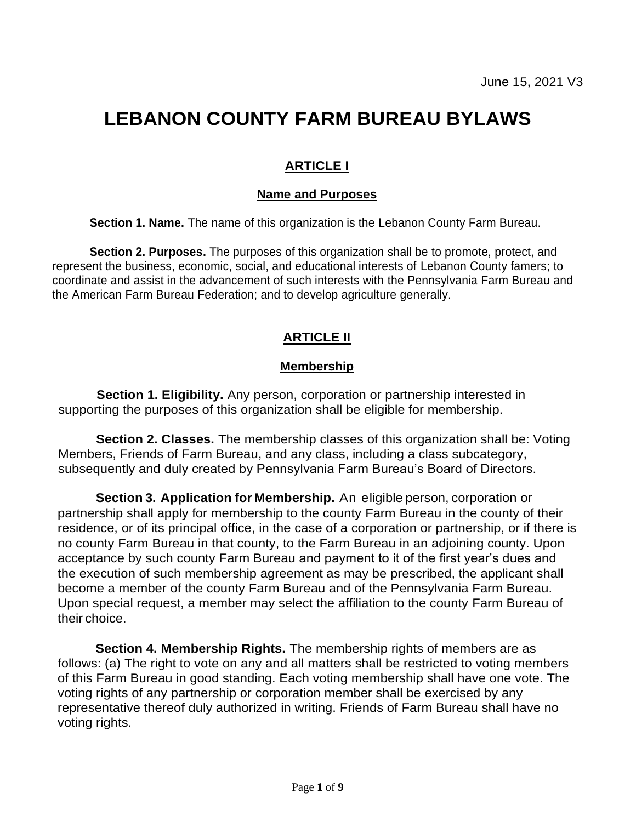# **LEBANON COUNTY FARM BUREAU BYLAWS**

## **ARTICLE I**

#### **Name and Purposes**

**Section 1. Name.** The name of this organization is the Lebanon County Farm Bureau.

**Section 2. Purposes.** The purposes of this organization shall be to promote, protect, and represent the business, economic, social, and educational interests of Lebanon County famers; to coordinate and assist in the advancement of such interests with the Pennsylvania Farm Bureau and the American Farm Bureau Federation; and to develop agriculture generally.

## **ARTICLE II**

#### **Membership**

**Section 1. Eligibility.** Any person, corporation or partnership interested in supporting the purposes of this organization shall be eligible for membership.

**Section 2. Classes.** The membership classes of this organization shall be: Voting Members, Friends of Farm Bureau, and any class, including a class subcategory, subsequently and duly created by Pennsylvania Farm Bureau's Board of Directors.

**Section 3. Application for Membership.** An eligible person, corporation or partnership shall apply for membership to the county Farm Bureau in the county of their residence, or of its principal office, in the case of a corporation or partnership, or if there is no county Farm Bureau in that county, to the Farm Bureau in an adjoining county. Upon acceptance by such county Farm Bureau and payment to it of the first year's dues and the execution of such membership agreement as may be prescribed, the applicant shall become a member of the county Farm Bureau and of the Pennsylvania Farm Bureau. Upon special request, a member may select the affiliation to the county Farm Bureau of their choice.

**Section 4. Membership Rights.** The membership rights of members are as follows: (a) The right to vote on any and all matters shall be restricted to voting members of this Farm Bureau in good standing. Each voting membership shall have one vote. The voting rights of any partnership or corporation member shall be exercised by any representative thereof duly authorized in writing. Friends of Farm Bureau shall have no voting rights.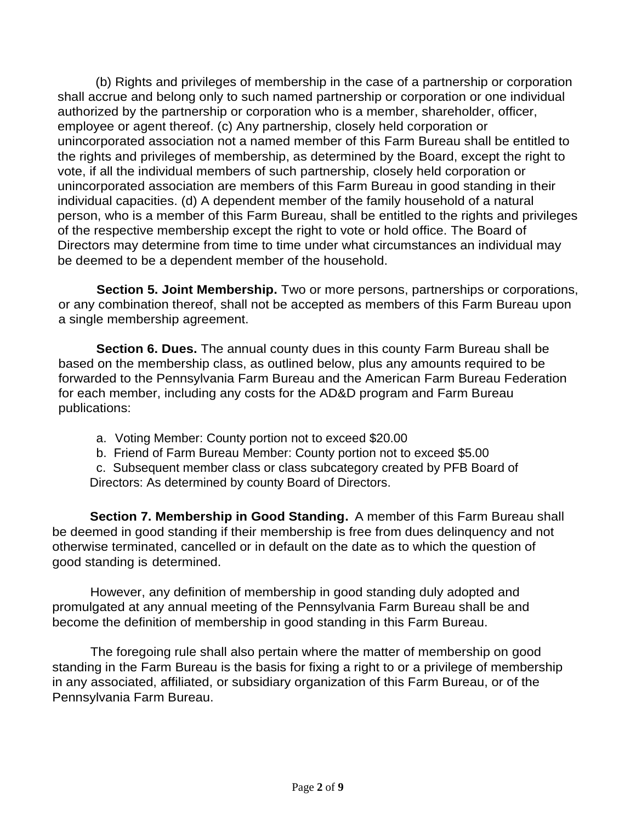(b) Rights and privileges of membership in the case of a partnership or corporation shall accrue and belong only to such named partnership or corporation or one individual authorized by the partnership or corporation who is a member, shareholder, officer, employee or agent thereof. (c) Any partnership, closely held corporation or unincorporated association not a named member of this Farm Bureau shall be entitled to the rights and privileges of membership, as determined by the Board, except the right to vote, if all the individual members of such partnership, closely held corporation or unincorporated association are members of this Farm Bureau in good standing in their individual capacities. (d) A dependent member of the family household of a natural person, who is a member of this Farm Bureau, shall be entitled to the rights and privileges of the respective membership except the right to vote or hold office. The Board of Directors may determine from time to time under what circumstances an individual may be deemed to be a dependent member of the household.

**Section 5. Joint Membership.** Two or more persons, partnerships or corporations, or any combination thereof, shall not be accepted as members of this Farm Bureau upon a single membership agreement.

**Section 6. Dues.** The annual county dues in this county Farm Bureau shall be based on the membership class, as outlined below, plus any amounts required to be forwarded to the Pennsylvania Farm Bureau and the American Farm Bureau Federation for each member, including any costs for the AD&D program and Farm Bureau publications:

- a. Voting Member: County portion not to exceed \$20.00
- b. Friend of Farm Bureau Member: County portion not to exceed \$5.00

c. Subsequent member class or class subcategory created by PFB Board of Directors: As determined by county Board of Directors.

**Section 7. Membership in Good Standing.** A member of this Farm Bureau shall be deemed in good standing if their membership is free from dues delinquency and not otherwise terminated, cancelled or in default on the date as to which the question of good standing is determined.

However, any definition of membership in good standing duly adopted and promulgated at any annual meeting of the Pennsylvania Farm Bureau shall be and become the definition of membership in good standing in this Farm Bureau.

The foregoing rule shall also pertain where the matter of membership on good standing in the Farm Bureau is the basis for fixing a right to or a privilege of membership in any associated, affiliated, or subsidiary organization of this Farm Bureau, or of the Pennsylvania Farm Bureau.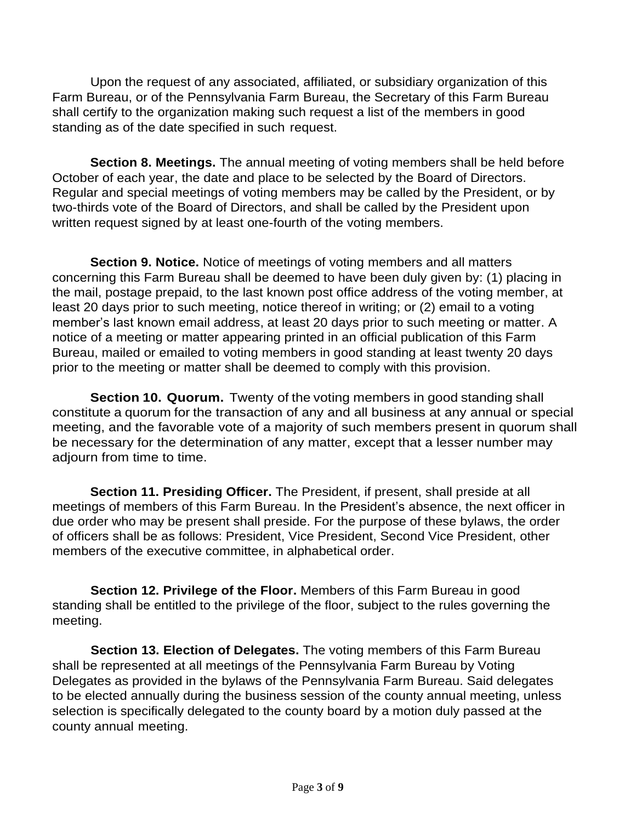Upon the request of any associated, affiliated, or subsidiary organization of this Farm Bureau, or of the Pennsylvania Farm Bureau, the Secretary of this Farm Bureau shall certify to the organization making such request a list of the members in good standing as of the date specified in such request.

**Section 8. Meetings.** The annual meeting of voting members shall be held before October of each year, the date and place to be selected by the Board of Directors. Regular and special meetings of voting members may be called by the President, or by two-thirds vote of the Board of Directors, and shall be called by the President upon written request signed by at least one-fourth of the voting members.

**Section 9. Notice.** Notice of meetings of voting members and all matters concerning this Farm Bureau shall be deemed to have been duly given by: (1) placing in the mail, postage prepaid, to the last known post office address of the voting member, at least 20 days prior to such meeting, notice thereof in writing; or (2) email to a voting member's last known email address, at least 20 days prior to such meeting or matter. A notice of a meeting or matter appearing printed in an official publication of this Farm Bureau, mailed or emailed to voting members in good standing at least twenty 20 days prior to the meeting or matter shall be deemed to comply with this provision.

**Section 10. Quorum.** Twenty of the voting members in good standing shall constitute a quorum for the transaction of any and all business at any annual or special meeting, and the favorable vote of a majority of such members present in quorum shall be necessary for the determination of any matter, except that a lesser number may adjourn from time to time.

**Section 11. Presiding Officer.** The President, if present, shall preside at all meetings of members of this Farm Bureau. In the President's absence, the next officer in due order who may be present shall preside. For the purpose of these bylaws, the order of officers shall be as follows: President, Vice President, Second Vice President, other members of the executive committee, in alphabetical order.

**Section 12. Privilege of the Floor.** Members of this Farm Bureau in good standing shall be entitled to the privilege of the floor, subject to the rules governing the meeting.

**Section 13. Election of Delegates.** The voting members of this Farm Bureau shall be represented at all meetings of the Pennsylvania Farm Bureau by Voting Delegates as provided in the bylaws of the Pennsylvania Farm Bureau. Said delegates to be elected annually during the business session of the county annual meeting, unless selection is specifically delegated to the county board by a motion duly passed at the county annual meeting.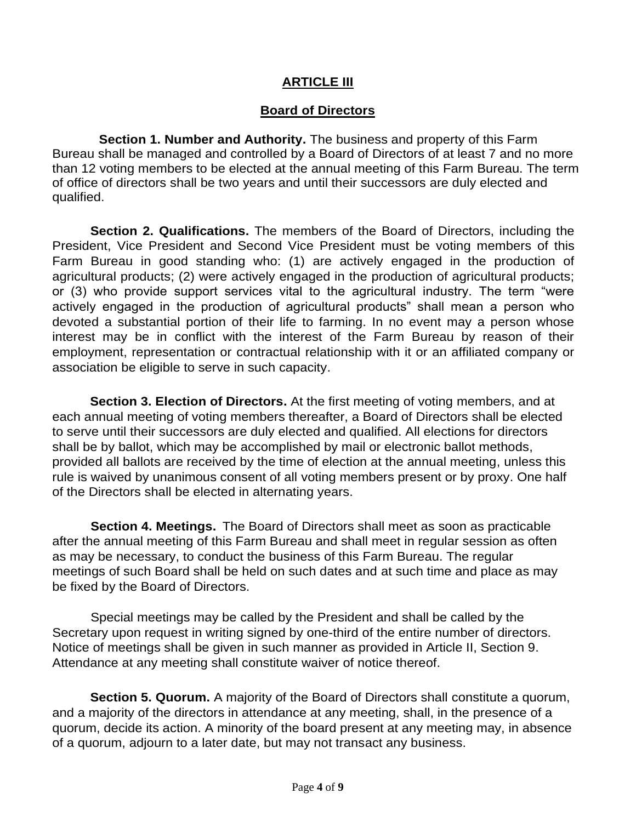#### **ARTICLE III**

#### **Board of Directors**

**Section 1. Number and Authority.** The business and property of this Farm Bureau shall be managed and controlled by a Board of Directors of at least 7 and no more than 12 voting members to be elected at the annual meeting of this Farm Bureau. The term of office of directors shall be two years and until their successors are duly elected and qualified.

**Section 2. Qualifications.** The members of the Board of Directors, including the President, Vice President and Second Vice President must be voting members of this Farm Bureau in good standing who: (1) are actively engaged in the production of agricultural products; (2) were actively engaged in the production of agricultural products; or (3) who provide support services vital to the agricultural industry. The term "were actively engaged in the production of agricultural products" shall mean a person who devoted a substantial portion of their life to farming. In no event may a person whose interest may be in conflict with the interest of the Farm Bureau by reason of their employment, representation or contractual relationship with it or an affiliated company or association be eligible to serve in such capacity.

**Section 3. Election of Directors.** At the first meeting of voting members, and at each annual meeting of voting members thereafter, a Board of Directors shall be elected to serve until their successors are duly elected and qualified. All elections for directors shall be by ballot, which may be accomplished by mail or electronic ballot methods, provided all ballots are received by the time of election at the annual meeting, unless this rule is waived by unanimous consent of all voting members present or by proxy. One half of the Directors shall be elected in alternating years.

**Section 4. Meetings.** The Board of Directors shall meet as soon as practicable after the annual meeting of this Farm Bureau and shall meet in regular session as often as may be necessary, to conduct the business of this Farm Bureau. The regular meetings of such Board shall be held on such dates and at such time and place as may be fixed by the Board of Directors.

Special meetings may be called by the President and shall be called by the Secretary upon request in writing signed by one-third of the entire number of directors. Notice of meetings shall be given in such manner as provided in Article II, Section 9. Attendance at any meeting shall constitute waiver of notice thereof.

**Section 5. Quorum.** A majority of the Board of Directors shall constitute a quorum, and a majority of the directors in attendance at any meeting, shall, in the presence of a quorum, decide its action. A minority of the board present at any meeting may, in absence of a quorum, adjourn to a later date, but may not transact any business.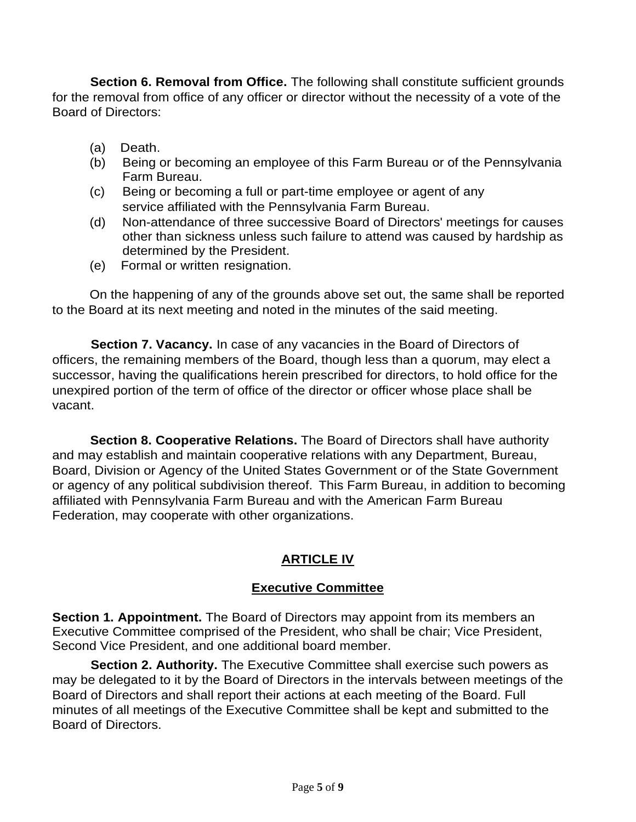**Section 6. Removal from Office.** The following shall constitute sufficient grounds for the removal from office of any officer or director without the necessity of a vote of the Board of Directors:

- (a) Death.
- (b) Being or becoming an employee of this Farm Bureau or of the Pennsylvania Farm Bureau.
- (c) Being or becoming a full or part-time employee or agent of any service affiliated with the Pennsylvania Farm Bureau.
- (d) Non-attendance of three successive Board of Directors' meetings for causes other than sickness unless such failure to attend was caused by hardship as determined by the President.
- (e) Formal or written resignation.

On the happening of any of the grounds above set out, the same shall be reported to the Board at its next meeting and noted in the minutes of the said meeting.

**Section 7. Vacancy.** In case of any vacancies in the Board of Directors of officers, the remaining members of the Board, though less than a quorum, may elect a successor, having the qualifications herein prescribed for directors, to hold office for the unexpired portion of the term of office of the director or officer whose place shall be vacant.

**Section 8. Cooperative Relations.** The Board of Directors shall have authority and may establish and maintain cooperative relations with any Department, Bureau, Board, Division or Agency of the United States Government or of the State Government or agency of any political subdivision thereof. This Farm Bureau, in addition to becoming affiliated with Pennsylvania Farm Bureau and with the American Farm Bureau Federation, may cooperate with other organizations.

# **ARTICLE IV**

#### **Executive Committee**

**Section 1. Appointment.** The Board of Directors may appoint from its members an Executive Committee comprised of the President, who shall be chair; Vice President, Second Vice President, and one additional board member.

**Section 2. Authority.** The Executive Committee shall exercise such powers as may be delegated to it by the Board of Directors in the intervals between meetings of the Board of Directors and shall report their actions at each meeting of the Board. Full minutes of all meetings of the Executive Committee shall be kept and submitted to the Board of Directors.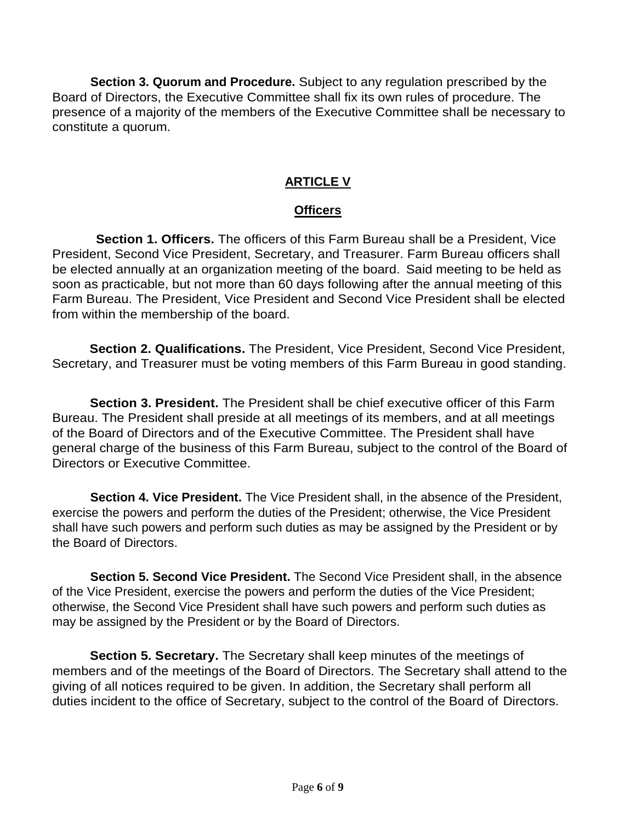**Section 3. Quorum and Procedure.** Subject to any regulation prescribed by the Board of Directors, the Executive Committee shall fix its own rules of procedure. The presence of a majority of the members of the Executive Committee shall be necessary to constitute a quorum.

## **ARTICLE V**

#### **Officers**

**Section 1. Officers.** The officers of this Farm Bureau shall be a President, Vice President, Second Vice President, Secretary, and Treasurer. Farm Bureau officers shall be elected annually at an organization meeting of the board. Said meeting to be held as soon as practicable, but not more than 60 days following after the annual meeting of this Farm Bureau. The President, Vice President and Second Vice President shall be elected from within the membership of the board.

**Section 2. Qualifications.** The President, Vice President, Second Vice President, Secretary, and Treasurer must be voting members of this Farm Bureau in good standing.

**Section 3. President.** The President shall be chief executive officer of this Farm Bureau. The President shall preside at all meetings of its members, and at all meetings of the Board of Directors and of the Executive Committee. The President shall have general charge of the business of this Farm Bureau, subject to the control of the Board of Directors or Executive Committee.

**Section 4. Vice President.** The Vice President shall, in the absence of the President, exercise the powers and perform the duties of the President; otherwise, the Vice President shall have such powers and perform such duties as may be assigned by the President or by the Board of Directors.

**Section 5. Second Vice President.** The Second Vice President shall, in the absence of the Vice President, exercise the powers and perform the duties of the Vice President; otherwise, the Second Vice President shall have such powers and perform such duties as may be assigned by the President or by the Board of Directors.

**Section 5. Secretary.** The Secretary shall keep minutes of the meetings of members and of the meetings of the Board of Directors. The Secretary shall attend to the giving of all notices required to be given. In addition, the Secretary shall perform all duties incident to the office of Secretary, subject to the control of the Board of Directors.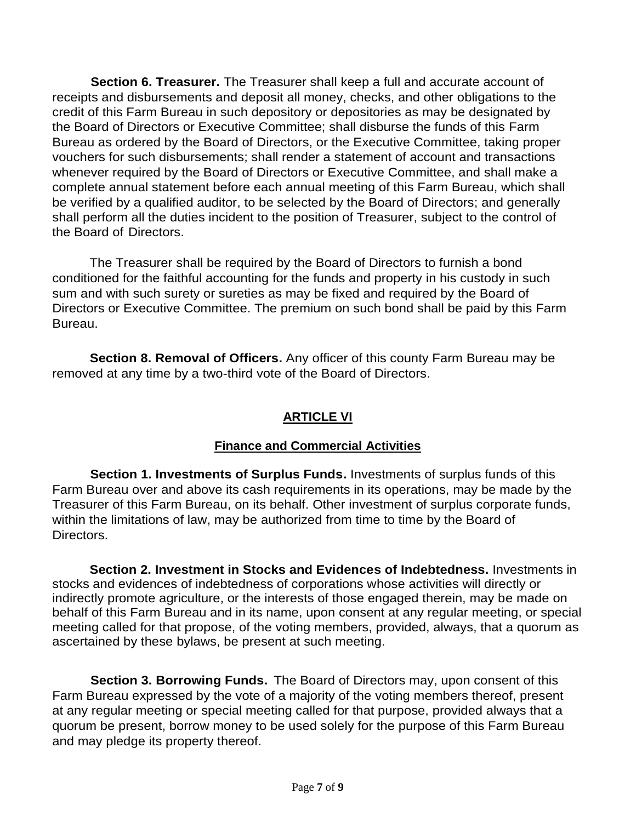**Section 6. Treasurer.** The Treasurer shall keep a full and accurate account of receipts and disbursements and deposit all money, checks, and other obligations to the credit of this Farm Bureau in such depository or depositories as may be designated by the Board of Directors or Executive Committee; shall disburse the funds of this Farm Bureau as ordered by the Board of Directors, or the Executive Committee, taking proper vouchers for such disbursements; shall render a statement of account and transactions whenever required by the Board of Directors or Executive Committee, and shall make a complete annual statement before each annual meeting of this Farm Bureau, which shall be verified by a qualified auditor, to be selected by the Board of Directors; and generally shall perform all the duties incident to the position of Treasurer, subject to the control of the Board of Directors.

The Treasurer shall be required by the Board of Directors to furnish a bond conditioned for the faithful accounting for the funds and property in his custody in such sum and with such surety or sureties as may be fixed and required by the Board of Directors or Executive Committee. The premium on such bond shall be paid by this Farm Bureau.

**Section 8. Removal of Officers.** Any officer of this county Farm Bureau may be removed at any time by a two-third vote of the Board of Directors.

# **ARTICLE VI**

# **Finance and Commercial Activities**

**Section 1. Investments of Surplus Funds.** Investments of surplus funds of this Farm Bureau over and above its cash requirements in its operations, may be made by the Treasurer of this Farm Bureau, on its behalf. Other investment of surplus corporate funds, within the limitations of law, may be authorized from time to time by the Board of Directors.

**Section 2. Investment in Stocks and Evidences of Indebtedness.** Investments in stocks and evidences of indebtedness of corporations whose activities will directly or indirectly promote agriculture, or the interests of those engaged therein, may be made on behalf of this Farm Bureau and in its name, upon consent at any regular meeting, or special meeting called for that propose, of the voting members, provided, always, that a quorum as ascertained by these bylaws, be present at such meeting.

**Section 3. Borrowing Funds.** The Board of Directors may, upon consent of this Farm Bureau expressed by the vote of a majority of the voting members thereof, present at any regular meeting or special meeting called for that purpose, provided always that a quorum be present, borrow money to be used solely for the purpose of this Farm Bureau and may pledge its property thereof.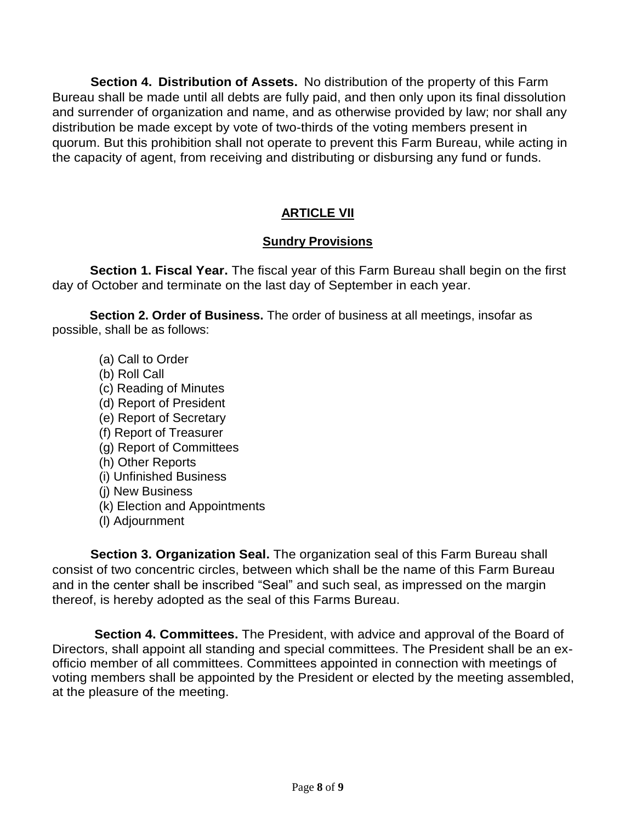**Section 4. Distribution of Assets.** No distribution of the property of this Farm Bureau shall be made until all debts are fully paid, and then only upon its final dissolution and surrender of organization and name, and as otherwise provided by law; nor shall any distribution be made except by vote of two-thirds of the voting members present in quorum. But this prohibition shall not operate to prevent this Farm Bureau, while acting in the capacity of agent, from receiving and distributing or disbursing any fund or funds.

# **ARTICLE VII**

## **Sundry Provisions**

**Section 1. Fiscal Year.** The fiscal year of this Farm Bureau shall begin on the first day of October and terminate on the last day of September in each year.

**Section 2. Order of Business.** The order of business at all meetings, insofar as possible, shall be as follows:

- (a) Call to Order
- (b) Roll Call
- (c) Reading of Minutes
- (d) Report of President
- (e) Report of Secretary
- (f) Report of Treasurer
- (g) Report of Committees
- (h) Other Reports
- (i) Unfinished Business
- (j) New Business
- (k) Election and Appointments
- (l) Adjournment

**Section 3. Organization Seal.** The organization seal of this Farm Bureau shall consist of two concentric circles, between which shall be the name of this Farm Bureau and in the center shall be inscribed "Seal" and such seal, as impressed on the margin thereof, is hereby adopted as the seal of this Farms Bureau.

**Section 4. Committees.** The President, with advice and approval of the Board of Directors, shall appoint all standing and special committees. The President shall be an exofficio member of all committees. Committees appointed in connection with meetings of voting members shall be appointed by the President or elected by the meeting assembled, at the pleasure of the meeting.